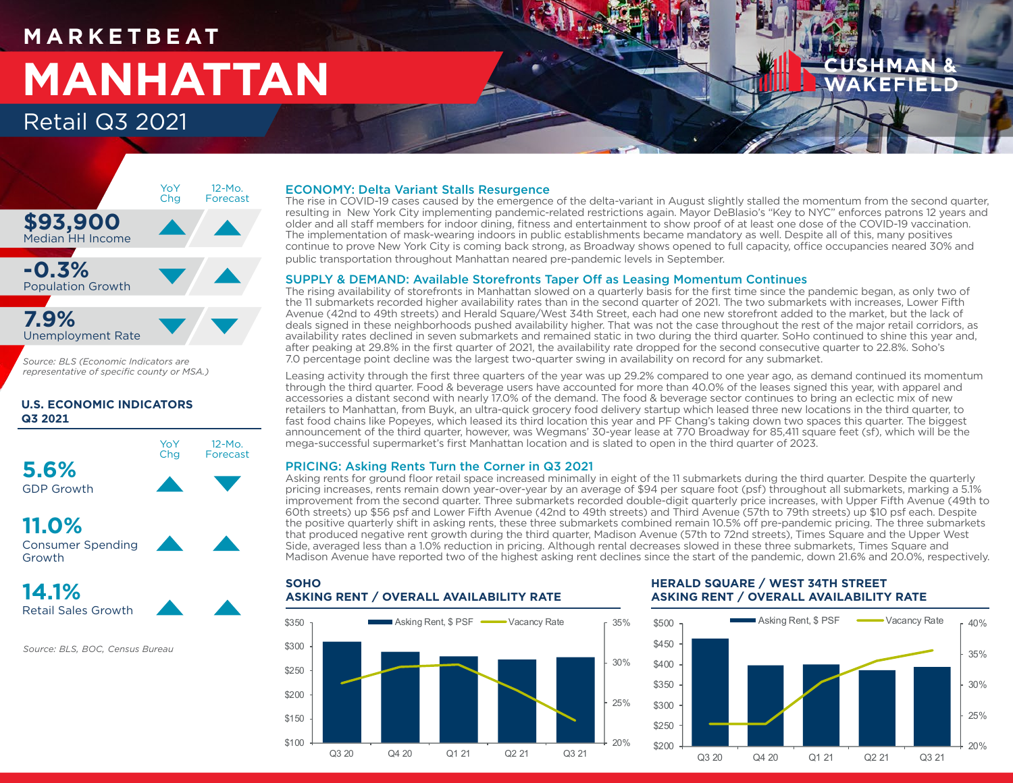# **M A R K E T B E AT MANHATTAN** Retail Q3 2021



*Source: BLS (Economic Indicators are representative of specific county or MSA.)*

# **U.S. ECONOMIC INDICATORS Q3 2021**



**11.0%** Consumer Spending Growth



*Source: BLS, BOC, Census Bureau*

# ECONOMY: Delta Variant Stalls Resurgence

The rise in COVID-19 cases caused by the emergence of the delta-variant in August slightly stalled the momentum from the second quarter, resulting in New York City implementing pandemic-related restrictions again. Mayor DeBlasio's "Key to NYC" enforces patrons 12 years and older and all staff members for indoor dining, fitness and entertainment to show proof of at least one dose of the COVID-19 vaccination. The implementation of mask-wearing indoors in public establishments became mandatory as well. Despite all of this, many positives continue to prove New York City is coming back strong, as Broadway shows opened to full capacity, office occupancies neared 30% and public transportation throughout Manhattan neared pre-pandemic levels in September.

# SUPPLY & DEMAND: Available Storefronts Taper Off as Leasing Momentum Continues

The rising availability of storefronts in Manhattan slowed on a quarterly basis for the first time since the pandemic began, as only two of the 11 submarkets recorded higher availability rates than in the second quarter of 2021. The two submarkets with increases, Lower Fifth Avenue (42nd to 49th streets) and Herald Square/West 34th Street, each had one new storefront added to the market, but the lack of deals signed in these neighborhoods pushed availability higher. That was not the case throughout the rest of the major retail corridors, as availability rates declined in seven submarkets and remained static in two during the third quarter. SoHo continued to shine this year and, after peaking at 29.8% in the first quarter of 2021, the availability rate dropped for the second consecutive quarter to 22.8%. Soho's 7.0 percentage point decline was the largest two-quarter swing in availability on record for any submarket.

Leasing activity through the first three quarters of the year was up 29.2% compared to one year ago, as demand continued its momentum through the third quarter. Food & beverage users have accounted for more than 40.0% of the leases signed this year, with apparel and accessories a distant second with nearly 17.0% of the demand. The food & beverage sector continues to bring an eclectic mix of new retailers to Manhattan, from Buyk, an ultra-quick grocery food delivery startup which leased three new locations in the third quarter, to fast food chains like Popeyes, which leased its third location this year and PF Chang's taking down two spaces this quarter. The biggest announcement of the third quarter, however, was Wegmans' 30-year lease at 770 Broadway for 85,411 square feet (sf), which will be the mega-successful supermarket's first Manhattan location and is slated to open in the third quarter of 2023.

# PRICING: Asking Rents Turn the Corner in Q3 2021

Asking rents for ground floor retail space increased minimally in eight of the 11 submarkets during the third quarter. Despite the quarterly pricing increases, rents remain down year-over-year by an average of \$94 per square foot (psf) throughout all submarkets, marking a 5.1% improvement from the second quarter. Three submarkets recorded double-digit quarterly price increases, with Upper Fifth Avenue (49th to 60th streets) up \$56 psf and Lower Fifth Avenue (42nd to 49th streets) and Third Avenue (57th to 79th streets) up \$10 psf each. Despite the positive quarterly shift in asking rents, these three submarkets combined remain 10.5% off pre-pandemic pricing. The three submarkets that produced negative rent growth during the third quarter, Madison Avenue (57th to 72nd streets), Times Square and the Upper West Side, averaged less than a 1.0% reduction in pricing. Although rental decreases slowed in these three submarkets, Times Square and Madison Avenue have reported two of the highest asking rent declines since the start of the pandemic, down 21.6% and 20.0%, respectively.



# **HERALD SQUARE / WEST 34TH STREET ASKING RENT / OVERALL AVAILABILITY RATE**